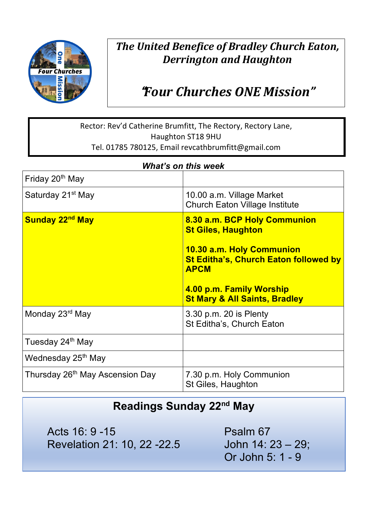

## *The United Benefice of Bradley Church Eaton, Derrington and Haughton*

# !*Four Churches ONE Mission"*

#### Rector: Rev'd Catherine Brumfitt, The Rectory, Rectory Lane, Haughton ST18 9HU Tel. 01785 780125, Email revcathbrumfitt@gmail.com

| <b>What's on this week</b>                  |                                                                                                                                                                                                                               |
|---------------------------------------------|-------------------------------------------------------------------------------------------------------------------------------------------------------------------------------------------------------------------------------|
| Friday 20 <sup>th</sup> May                 |                                                                                                                                                                                                                               |
| Saturday 21 <sup>st</sup> May               | 10.00 a.m. Village Market<br><b>Church Eaton Village Institute</b>                                                                                                                                                            |
| Sunday 22 <sup>nd</sup> May                 | 8.30 a.m. BCP Holy Communion<br><b>St Giles, Haughton</b><br>10.30 a.m. Holy Communion<br><b>St Editha's, Church Eaton followed by</b><br><b>APCM</b><br>4.00 p.m. Family Worship<br><b>St Mary &amp; All Saints, Bradley</b> |
| Monday 23 <sup>rd</sup> May                 | 3.30 p.m. 20 is Plenty<br>St Editha's, Church Eaton                                                                                                                                                                           |
| Tuesday 24 <sup>th</sup> May                |                                                                                                                                                                                                                               |
| Wednesday 25 <sup>th</sup> May              |                                                                                                                                                                                                                               |
| Thursday 26 <sup>th</sup> May Ascension Day | 7.30 p.m. Holy Communion<br>St Giles, Haughton                                                                                                                                                                                |

### **Readings Sunday 22nd May**

Acts 16: 9 - 15 Psalm 67 Revelation 21: 10, 22 -22.5 John 14: 23 – 29;

Or John 5: 1 - 9